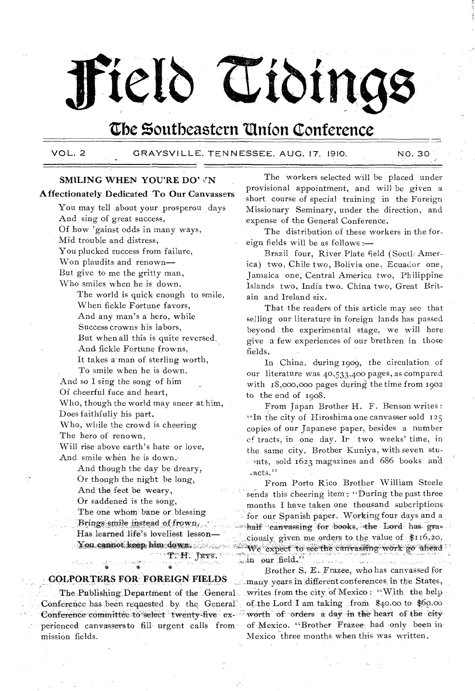# $\mathrm{He}$  **C**  $\mathrm{C}$  iding

### **the Southeastern 'Union Conference**

#### VOL. 2 GRAYSV1LLE, TENNESSEE. AUG. 17, 1910. NO. 30

#### SMILING WHEN YOU'RE DO' YN

#### Affectionately Dedicated To Our Canvassers

You may tell about your prosperou days And sing of great success, Of how 'gainst odds in many ways, Mid trouble and distress, You plucked success from failure, Won plaudits and renown— But give to me the gritty .man, Who smiles when he is down. The world is quick enough to smile, When fickle Fortune favors, And any man's a hero, while Success crowns his labors, But when all this is quite reversed, And. fickle Fortune frowns, It takes a' man of sterling worth, To smile when he is down. And so I sing the song of him Of cheerful face and heart, Who, though the world may sneer at him, Does faithfully his part. Who, while the crowd is cheering The hero of renown, Will rise' above earth's hate or love, And smile when he is down.' And though the day be dreary, Or though the night be long, And the feet be weary, Or saddened is the song, The one whom bane or blessing Brings smile instead of frown, Has learned life's loveliest lesson-You cannot keep him down. "F:H: TEYS.

# **GOLPORTERS FOR: FOREIGN FIELDS**

The Publishing Department of the General Conference has been requested by the General. perienced canvassersto fill urgent calls from mission fields.

The workers selected will be placed under provisional appointment, and will be given a short course of special training in the Foreign Missionary Seminary, under the direction, and ,expense of the General Conference.

The distribution of these workers in the foreign fields will be as follows :—

Brazil four, River Plate field (South America) two, Chile two, Bolivia one, Ecuador one, Jamaica one, Central America two, Philippine Islands two, India two, China two, Great Britain and Ireland six.

That the readers of this article may see that selling our literature in foreign' lands has passed beyond the experimental stage, we will here give a few experiences of our brethren in those fields.

In China, during 1909, the circulation of our literature was 40,533,400 pages, as compared with 18,000,000 pages during' the time from 1902 to the end of 1908.

From Japan Brother H. F. Benson writes : "In the city of Hiroshima one canvasser sold  $125$ copies of our Japanese paper, besides a number of tracts, in one day. Ir two weeks' time, in the same city, Brother Kuniya, with seven stu-. mts, sold 1623 magazines and 686 books and  $\mathcal{L}$ acts."

From Porto Rico Brother William Steele sends this cheering item: "During the past three months I have taken one thousand suhcriptions, for our Spanish paper. Working four days and a half canvassing for books, the Lord has gras ciously given me orders to the value of \$116.20. We expect to see the canvassing work go ahead. in our field."

Brother S. E. Frazee, who has canvassed for  $\Box$  many years in different conferences in the States, writes from the city of Mexico: "With the help of the Lord;I am taking from  $$40.00$  to  $$60.00$ Conference committee to select twenty five ex. worth of orders a day in the heart of the city-<br>perienced canvassers to fill urgent calls from of Mexico. "Brother Frazee had only been in

Mexico three months when this was written.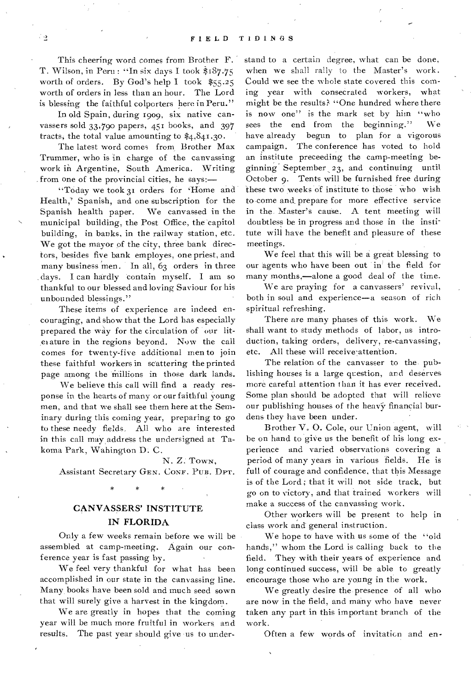This cheering word comes from Brother F. T. Wilson, in Peru : "In six days I took  $$187.75$ worth of orders. By God's help I took \$55.25 worth of orders in less than an hour. The Lord is blessing the faithful colporters here in Peru,"

In old Spain, during 1909, six native canvassers sold 33,790 papers, 451 hooks, and 397 tracts; the total value amounting to \$4,841.30.

The latest word comes from, Brother Max Trummer, who is in charge of the canvassing work in Argentine, South America. Writing from one of the provincial cities, he says:—

"Today we took 31 orders for 'Home and Health,' Spanish, and one subscription for the Spanish health paper. We canvassed in the municipal building, the Post Office, the 'capitol building, in banks, in the railway station, etc. We got the mayor of the city, three bank direc- , tors, besides five bank employes, one priest, and many business men. In all, 63 orders in three days. I can hardly contain myself. I am so thankful to our blessed and loving Saviour for his unbounded blessings."

These items of experience are indeed encouraging, and show that the Lord has especially prepared the way for the circulation of our lit- ,e1 ature in the regions beyond. Now the call comes for twenty-five additional men to join these faithful workers in scattering the printed page among the millions in those dark lands.

We believe this call will find a ready response in the hearts of many or our faithful young men, and that we shall see them here at the Seminary during this coming year, preparing to go to these needy fields, All who are interested in this call may, address the undersigned at Takoma Park, Wahington D. C.

#### N. Z. TOWN,

Assistant Secretary GEN. CONF. Pus. DPT.

#### CANVASSERS' INSTITUTE IN FLORIDA

Only a few weeks remain before we will be assembled at camp-meeting. Again our conference year is fast passing by.

We feel very thankful for what has been accomplished in our state in the canvassing line. Many, books have been sold and much seed sown that will surely give a harvest in the kingdom.

We are greatly in hopes that the coming year will be much more fruitful in workers and results. The past year should give us to understand to a certain degree, what can be done, when we shall rally to the Master's work. Could we see the whole state covered this coming year with consecrated workers, what might be the results? "One hundred where there is now one" is the mark set by him "who sees the end from the beginning." We have already begun to plan for a vigorous campaign. The conference has voted to hold an institute preceeding the camp-meeting beginning' September, 23, and continuing until October 9. Tents will be furnished free during these two weeks of institute to those who wish to-come and prepare for more effective service in the. Master's cause. A tent meeting will doubtless be in progress and those in the institute will have the benefit and pleasure of these meetings.

We feel that this will be a great blessing to our agents who have been out in' the field for many months,—alone a good deal of the time.

We are praying for a canvassers' revival, both in soul and experience—a season of rich spiritual refreshing.

There are many phases of this work. We shall want to study methods of labor, as introduction, taking orders, delivery, re-canvassing, etc. All these will receive-attention.

The relation of the canvasser to the, publishing houses is a large question, and deserves more careful attention than it has ever received. Some plan should be adopted that will relieve our publishing houses of the heavy financial burdens they have been under.

Brother V. 0. Cole, our Union agent, will be on hand to give us the benefit of his long experience and varied observations covering a period of many years in various fields. He is full of courage and confidence, that this Message is of the Lord ; that it will not side track, but go on to victory, and that trained workers will make a success of the canvassing work.

Other workers will be present to help in class work and general instruction.

We hope to have with us some of the "old hands," whom the Lord is calling back to the field. They with their years of experience and long continued success, will be able to greatly encourage those who are young in the work.

We greatly desire the presence of all who are now in the field, and many who have never taken any part in this important branch of the work.

Often a few words of invitation and en-

- 2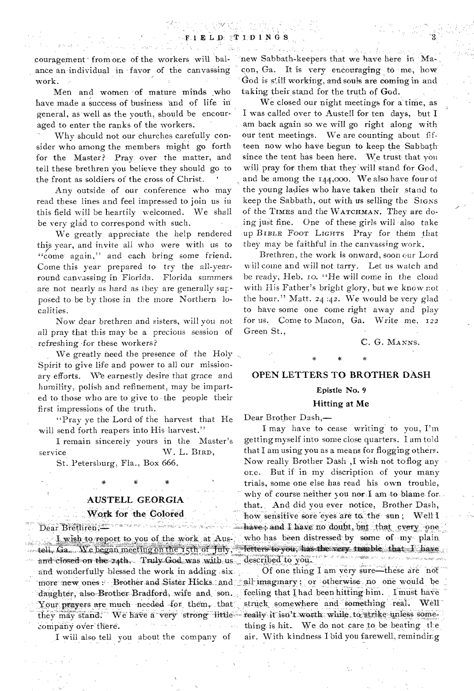couragement from one of the workers will balance an individual in favor of the canvassing work.

Men and women of mature minds who have made a success of business and of life in general, as well as the youth, should be encouraged to enter the ranks of the workers.

Why should not our churches carefully consider who among the members might go forth for the Master? Pray over the matter, and tell these brethren you believe they should go to the front as soldiers of the cross of Christ. '

Any outside of our conference who may read these lines and feel impressed to join us in this field will be heartily welcomed. We shall be very glad to correspond with such.

We greatly appreciate the help rendered this year, and invite all who were with us to "come again," and each bring some friend. Come this year prepared to try the all-yearround canvassing in Florida. Florida summers are not nearly as hard as they are generally supposed to be by those in the more Northern localities.

Now *dear* brethren and sisters, will you not all pray that this may be a precious session of refreshing •for these workers?

We greatly need the presence of the Holy Spirit to give life and power to all our missionary efforts. We earnestly desire that grace and humility, polish and refinement, may be imparted to those who are to give to . the people their first impressions of the truth.

"Pray ye the Lord of the harvest that He will send forth reapers into His harvest."

I remain sincerely yours in the Master's service W. L. BIRD,

St. Petersburg, Fla., Box 666.

#### AUSTELL GEORGIA

tell, Ga. We began meeting on the 15th of July; letters to you, has the very trauble: and closed on the z4th. Truly God was with us. described to you.<br>and wonderfully blessed the work in adding six. Of one thing I am very sure—these are not and wonderfully blessed the work in adding six. more new ones - Brother and Sister Hicks and sall imaginary; or otherwise no one would be daughter, also Brother Bradford, wife and, son... feeling that I had been hitting him. I must have Your prayers are much needed for them, that; struck somewhere and something real. Well they may stand. We have a very strong little really it isn't worth while to strike unless some

new Sabbath-keepers that we have here in Macon, Ga. It is very encouraging to me, how God is still working, and souls are coming in and taking their stand for the truth of God.

We closed our night meetings for a time, as I was called over to Austell for ten days, but I am back again so we will go right along with our tent meetings. We are counting about fifteen now who have begun to keep the Sabbathsince the tent has been here. 'We trust that you will pray for them that they will stand for God, and be among the 144,000. We also have four of the young ladies who have taken their stand to keep the Sabbath, out with us selling the SIGNS of the TIMES and the WATCHMAN. They are doing just fine. One of these girls will also take up BIBLE FOOT LIGHTS Pray for them that they may be faithful in the canvassing work.

Brethren, the work is onward, soon our Lord will come and will not tarry. Let us watch and be ready, Heb. io. "He will come in the cloud with His Father's bright glory, but we know not the hour." Matt. 24:42. We would be very glad to have some one come right away and play for us. Come to Macon, Ga. Write me, 122 Green St.,

C. G. MANNS.

#### OPEN LETTERS TO BROTHER DASH

#### Epistle No. 9

#### Hitting at Me

Dear Brother Dash,—

I may have to cease writing to you, I'm getting myself into some close quarters. I am told that I am using you as a means for flogging others. Now really Brother Dash ,I wish not to flog any one. But if in my discription of your many trials, some one else has read his own trouble, why of course neither you nerd am to blame for. that. And did you ever notice, Brother Dash, Work for the Colored how sensitive sore eyes are t6: the sun; Well I<br>Dear Brethren; have, and I have no doubt, but that every one I wish to report to you of the work at Aus-, who has been distressed by some of my plain.<br>Ga. We began meeting on the 15th of Tuty, retters to you, has the very trauble, that I have

company over there.  $\cdots$  thing is hit. We do not care to be beating the I will also tell you about the company of air. With kindness I bid you farewell, reminding